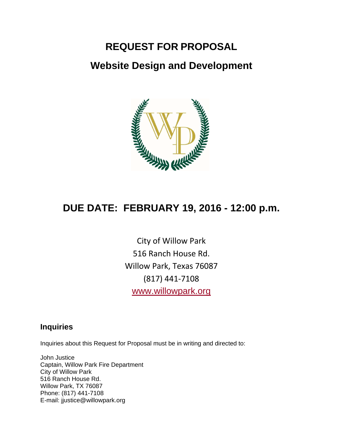# **REQUEST FOR PROPOSAL**

# **Website Design and Development**



# **DUE DATE: FEBRUARY 19, 2016 - 12:00 p.m.**

City of Willow Park 516 Ranch House Rd. Willow Park, Texas 76087 (817) 441‐7108 www.willowpark.org

### **Inquiries**

Inquiries about this Request for Proposal must be in writing and directed to:

John Justice Captain, Willow Park Fire Department City of Willow Park 516 Ranch House Rd. Willow Park, TX 76087 Phone: (817) 441-7108 E-mail: jjustice@willowpark.org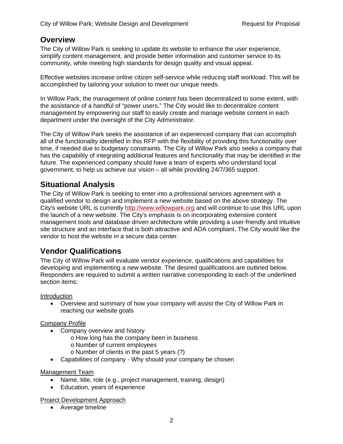### **Overview**

The City of Willow Park is seeking to update its website to enhance the user experience, simplify content management, and provide better information and customer service to its community, while meeting high standards for design quality and visual appeal.

Effective websites increase online citizen self-service while reducing staff workload. This will be accomplished by tailoring your solution to meet our unique needs.

In Willow Park, the management of online content has been decentralized to some extent, with the assistance of a handful of "power users." The City would like to decentralize content management by empowering our staff to easily create and manage website content in each department under the oversight of the City Administrator.

The City of Willow Park seeks the assistance of an experienced company that can accomplish all of the functionality identified in this RFP with the flexibility of providing this functionality over time, if needed due to budgetary constraints. The City of Willow Park also seeks a company that has the capability of integrating additional features and functionality that may be identified in the future. The experienced company should have a team of experts who understand local government, to help us achieve our vision – all while providing 24/7/365 support.

### **Situational Analysis**

The City of Willow Park is seeking to enter into a professional services agreement with a qualified vendor to design and implement a new website based on the above strategy. The City's website URL is currently http://www.willowpark.org and will continue to use this URL upon the launch of a new website. The City's emphasis is on incorporating extensive content management tools and database driven architecture while providing a user-friendly and intuitive site structure and an interface that is both attractive and ADA compliant. The City would like the vendor to host the website in a secure data center.

### **Vendor Qualifications**

The City of Willow Park will evaluate vendor experience, qualifications and capabilities for developing and implementing a new website. The desired qualifications are outlined below. Responders are required to submit a written narrative corresponding to each of the underlined section items:

Introduction

 Overview and summary of how your company will assist the City of Willow Park in reaching our website goals

#### Company Profile

- Company overview and history
	- o How long has the company been in business
	- o Number of current employees
	- o Number of clients in the past 5 years (?)
- Capabilities of company Why should your company be chosen

#### Management Team

- Name, title, role (e.g., project management, training, design)
- Education, years of experience

Project Development Approach

• Average timeline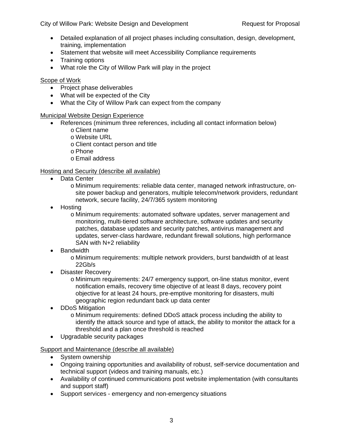City of Willow Park: Website Design and Development Request for Proposal

- Detailed explanation of all project phases including consultation, design, development, training, implementation
- Statement that website will meet Accessibility Compliance requirements
- Training options
- What role the City of Willow Park will play in the project

#### Scope of Work

- Project phase deliverables
- What will be expected of the City
- What the City of Willow Park can expect from the company

#### Municipal Website Design Experience

- References (minimum three references, including all contact information below)
	- o Client name o Website URL
	- o Client contact person and title
	- o Phone
	- o Email address

#### Hosting and Security (describe all available)

- Data Center
	- o Minimum requirements: reliable data center, managed network infrastructure, onsite power backup and generators, multiple telecom/network providers, redundant network, secure facility, 24/7/365 system monitoring
- Hosting
	- o Minimum requirements: automated software updates, server management and monitoring, multi-tiered software architecture, software updates and security patches, database updates and security patches, antivirus management and updates, server-class hardware, redundant firewall solutions, high performance SAN with N+2 reliability
- Bandwidth
	- o Minimum requirements: multiple network providers, burst bandwidth of at least 22Gb/s
- Disaster Recovery
	- o Minimum requirements: 24/7 emergency support, on-line status monitor, event notification emails, recovery time objective of at least 8 days, recovery point objective for at least 24 hours, pre-emptive monitoring for disasters, multi geographic region redundant back up data center
- DDoS Mitigation
	- o Minimum requirements: defined DDoS attack process including the ability to identify the attack source and type of attack, the ability to monitor the attack for a threshold and a plan once threshold is reached
- Upgradable security packages

Support and Maintenance (describe all available)

- System ownership
- Ongoing training opportunities and availability of robust, self-service documentation and technical support (videos and training manuals, etc.)
- Availability of continued communications post website implementation (with consultants and support staff)
- Support services emergency and non-emergency situations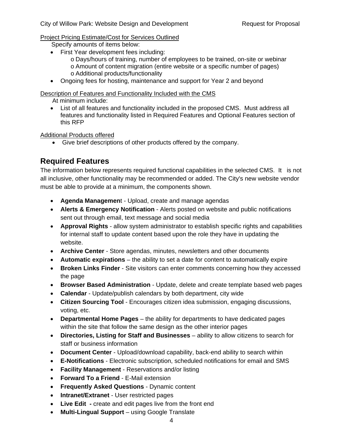Project Pricing Estimate/Cost for Services Outlined

Specify amounts of items below:

- First Year development fees including:
	- o Days/hours of training, number of employees to be trained, on-site or webinar
	- o Amount of content migration (entire website or a specific number of pages) o Additional products/functionality
- Ongoing fees for hosting, maintenance and support for Year 2 and beyond

Description of Features and Functionality Included with the CMS

At minimum include:

 List of all features and functionality included in the proposed CMS. Must address all features and functionality listed in Required Features and Optional Features section of this RFP

Additional Products offered

Give brief descriptions of other products offered by the company.

## **Required Features**

The information below represents required functional capabilities in the selected CMS. It is not all inclusive, other functionality may be recommended or added. The City's new website vendor must be able to provide at a minimum, the components shown.

- **Agenda Managemen**t Upload, create and manage agendas
- **Alerts & Emergency Notification** Alerts posted on website and public notifications sent out through email, text message and social media
- **Approval Rights** allow system administrator to establish specific rights and capabilities for internal staff to update content based upon the role they have in updating the website.
- **Archive Center** Store agendas, minutes, newsletters and other documents
- **Automatic expirations** the ability to set a date for content to automatically expire
- **Broken Links Finder** Site visitors can enter comments concerning how they accessed the page
- **Browser Based Administration** Update, delete and create template based web pages
- **Calendar** Update/publish calendars by both department, city wide
- **Citizen Sourcing Tool** Encourages citizen idea submission, engaging discussions, voting, etc.
- **Departmental Home Pages** the ability for departments to have dedicated pages within the site that follow the same design as the other interior pages
- **Directories, Listing for Staff and Businesses** ability to allow citizens to search for staff or business information
- **Document Center** Upload/download capability, back-end ability to search within
- **E-Notifications** Electronic subscription, scheduled notifications for email and SMS
- **Facility Management** Reservations and/or listing
- **Forward To a Friend** E-Mail extension
- **Frequently Asked Questions** Dynamic content
- **•** Intranet/Extranet User restricted pages
- **Live Edit** create and edit pages live from the front end
- **Multi-Lingual Support** using Google Translate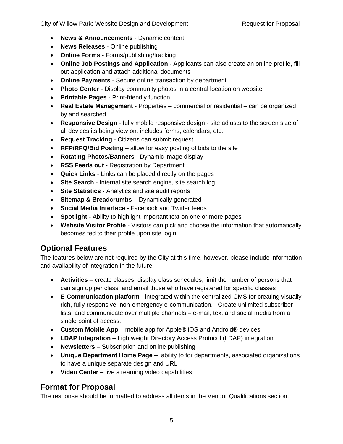- **News & Announcements** Dynamic content
- **News Releases** Online publishing
- **Online Forms** Forms/publishing/tracking
- **Online Job Postings and Application** Applicants can also create an online profile, fill out application and attach additional documents
- **Online Payments** Secure online transaction by department
- **Photo Center** Display community photos in a central location on website
- **Printable Pages** Print-friendly function
- **Real Estate Management** Properties commercial or residential can be organized by and searched
- **Responsive Design**  fully mobile responsive design site adjusts to the screen size of all devices its being view on, includes forms, calendars, etc.
- **Request Tracking** Citizens can submit request
- **RFP/RFQ/Bid Posting** allow for easy posting of bids to the site
- **Rotating Photos/Banners** Dynamic image display
- **RSS Feeds out** Registration by Department
- **Quick Links** Links can be placed directly on the pages
- **Site Search** Internal site search engine, site search log
- **Site Statistics** Analytics and site audit reports
- **Sitemap & Breadcrumbs** Dynamically generated
- **Social Media Interface** Facebook and Twitter feeds
- **Spotlight**  Ability to highlight important text on one or more pages
- **Website Visitor Profile** Visitors can pick and choose the information that automatically becomes fed to their profile upon site login

## **Optional Features**

The features below are not required by the City at this time, however, please include information and availability of integration in the future.

- **Activities** create classes, display class schedules, limit the number of persons that can sign up per class, and email those who have registered for specific classes
- **E-Communication platform** integrated within the centralized CMS for creating visually rich, fully responsive, non-emergency e-communication. Create unlimited subscriber lists, and communicate over multiple channels – e-mail, text and social media from a single point of access.
- **Custom Mobile App** mobile app for Apple® iOS and Android® devices
- **LDAP Integration** Lightweight Directory Access Protocol (LDAP) integration
- **Newsletters** Subscription and online publishing
- **Unique Department Home Page** ability to for departments, associated organizations to have a unique separate design and URL
- **Video Center** live streaming video capabilities

## **Format for Proposal**

The response should be formatted to address all items in the Vendor Qualifications section.